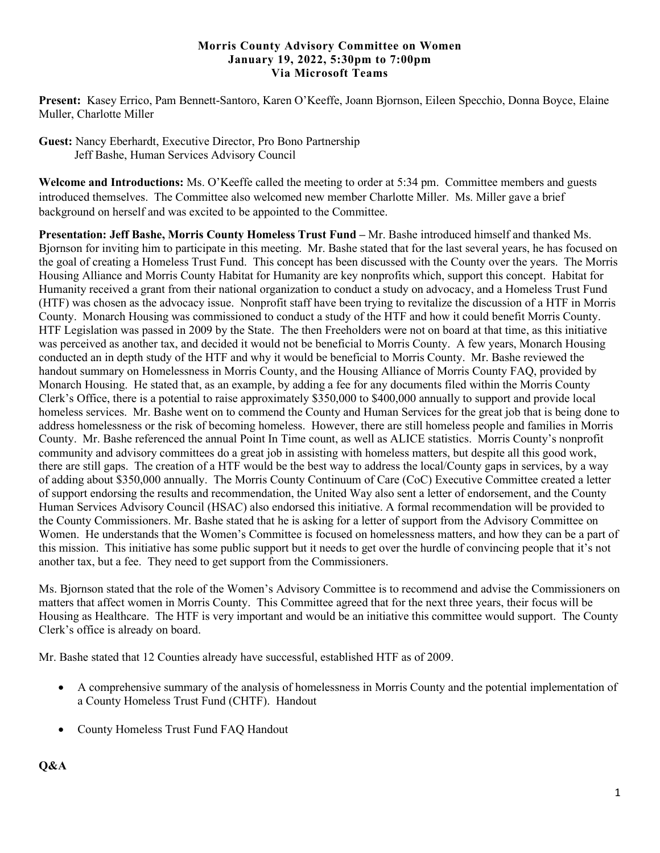## **Morris County Advisory Committee on Women January 19, 2022, 5:30pm to 7:00pm Via Microsoft Teams**

**Present:** Kasey Errico, Pam Bennett-Santoro, Karen O'Keeffe, Joann Bjornson, Eileen Specchio, Donna Boyce, Elaine Muller, Charlotte Miller

**Guest:** Nancy Eberhardt, Executive Director, Pro Bono Partnership Jeff Bashe, Human Services Advisory Council

**Welcome and Introductions:** Ms. O'Keeffe called the meeting to order at 5:34 pm. Committee members and guests introduced themselves. The Committee also welcomed new member Charlotte Miller. Ms. Miller gave a brief background on herself and was excited to be appointed to the Committee.

**Presentation: Jeff Bashe, Morris County Homeless Trust Fund –** Mr. Bashe introduced himself and thanked Ms. Bjornson for inviting him to participate in this meeting. Mr. Bashe stated that for the last several years, he has focused on the goal of creating a Homeless Trust Fund. This concept has been discussed with the County over the years. The Morris Housing Alliance and Morris County Habitat for Humanity are key nonprofits which, support this concept. Habitat for Humanity received a grant from their national organization to conduct a study on advocacy, and a Homeless Trust Fund (HTF) was chosen as the advocacy issue. Nonprofit staff have been trying to revitalize the discussion of a HTF in Morris County. Monarch Housing was commissioned to conduct a study of the HTF and how it could benefit Morris County. HTF Legislation was passed in 2009 by the State. The then Freeholders were not on board at that time, as this initiative was perceived as another tax, and decided it would not be beneficial to Morris County. A few years, Monarch Housing conducted an in depth study of the HTF and why it would be beneficial to Morris County. Mr. Bashe reviewed the handout summary on Homelessness in Morris County, and the Housing Alliance of Morris County FAQ, provided by Monarch Housing. He stated that, as an example, by adding a fee for any documents filed within the Morris County Clerk's Office, there is a potential to raise approximately \$350,000 to \$400,000 annually to support and provide local homeless services. Mr. Bashe went on to commend the County and Human Services for the great job that is being done to address homelessness or the risk of becoming homeless. However, there are still homeless people and families in Morris County. Mr. Bashe referenced the annual Point In Time count, as well as ALICE statistics. Morris County's nonprofit community and advisory committees do a great job in assisting with homeless matters, but despite all this good work, there are still gaps. The creation of a HTF would be the best way to address the local/County gaps in services, by a way of adding about \$350,000 annually. The Morris County Continuum of Care (CoC) Executive Committee created a letter of support endorsing the results and recommendation, the United Way also sent a letter of endorsement, and the County Human Services Advisory Council (HSAC) also endorsed this initiative. A formal recommendation will be provided to the County Commissioners. Mr. Bashe stated that he is asking for a letter of support from the Advisory Committee on Women. He understands that the Women's Committee is focused on homelessness matters, and how they can be a part of this mission. This initiative has some public support but it needs to get over the hurdle of convincing people that it's not another tax, but a fee. They need to get support from the Commissioners.

Ms. Bjornson stated that the role of the Women's Advisory Committee is to recommend and advise the Commissioners on matters that affect women in Morris County. This Committee agreed that for the next three years, their focus will be Housing as Healthcare. The HTF is very important and would be an initiative this committee would support. The County Clerk's office is already on board.

Mr. Bashe stated that 12 Counties already have successful, established HTF as of 2009.

- A comprehensive summary of the analysis of homelessness in Morris County and the potential implementation of a County Homeless Trust Fund (CHTF). Handout
- County Homeless Trust Fund FAQ Handout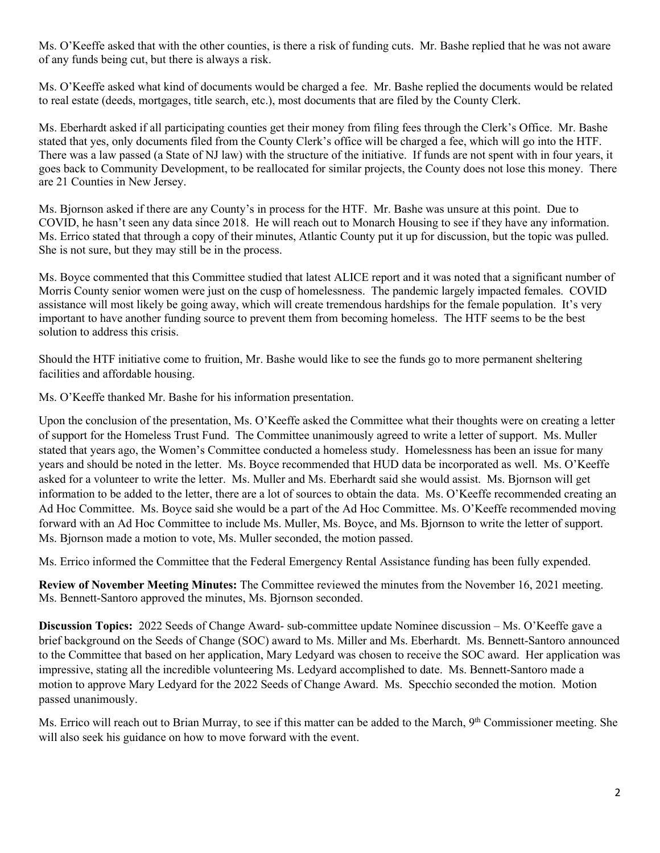Ms. O'Keeffe asked that with the other counties, is there a risk of funding cuts. Mr. Bashe replied that he was not aware of any funds being cut, but there is always a risk.

Ms. O'Keeffe asked what kind of documents would be charged a fee. Mr. Bashe replied the documents would be related to real estate (deeds, mortgages, title search, etc.), most documents that are filed by the County Clerk.

Ms. Eberhardt asked if all participating counties get their money from filing fees through the Clerk's Office. Mr. Bashe stated that yes, only documents filed from the County Clerk's office will be charged a fee, which will go into the HTF. There was a law passed (a State of NJ law) with the structure of the initiative. If funds are not spent with in four years, it goes back to Community Development, to be reallocated for similar projects, the County does not lose this money. There are 21 Counties in New Jersey.

Ms. Bjornson asked if there are any County's in process for the HTF. Mr. Bashe was unsure at this point. Due to COVID, he hasn't seen any data since 2018. He will reach out to Monarch Housing to see if they have any information. Ms. Errico stated that through a copy of their minutes, Atlantic County put it up for discussion, but the topic was pulled. She is not sure, but they may still be in the process.

Ms. Boyce commented that this Committee studied that latest ALICE report and it was noted that a significant number of Morris County senior women were just on the cusp of homelessness. The pandemic largely impacted females. COVID assistance will most likely be going away, which will create tremendous hardships for the female population. It's very important to have another funding source to prevent them from becoming homeless. The HTF seems to be the best solution to address this crisis.

Should the HTF initiative come to fruition, Mr. Bashe would like to see the funds go to more permanent sheltering facilities and affordable housing.

Ms. O'Keeffe thanked Mr. Bashe for his information presentation.

Upon the conclusion of the presentation, Ms. O'Keeffe asked the Committee what their thoughts were on creating a letter of support for the Homeless Trust Fund. The Committee unanimously agreed to write a letter of support. Ms. Muller stated that years ago, the Women's Committee conducted a homeless study. Homelessness has been an issue for many years and should be noted in the letter. Ms. Boyce recommended that HUD data be incorporated as well. Ms. O'Keeffe asked for a volunteer to write the letter. Ms. Muller and Ms. Eberhardt said she would assist. Ms. Bjornson will get information to be added to the letter, there are a lot of sources to obtain the data. Ms. O'Keeffe recommended creating an Ad Hoc Committee. Ms. Boyce said she would be a part of the Ad Hoc Committee. Ms. O'Keeffe recommended moving forward with an Ad Hoc Committee to include Ms. Muller, Ms. Boyce, and Ms. Bjornson to write the letter of support. Ms. Bjornson made a motion to vote, Ms. Muller seconded, the motion passed.

Ms. Errico informed the Committee that the Federal Emergency Rental Assistance funding has been fully expended.

**Review of November Meeting Minutes:** The Committee reviewed the minutes from the November 16, 2021 meeting. Ms. Bennett-Santoro approved the minutes, Ms. Bjornson seconded.

**Discussion Topics:** 2022 Seeds of Change Award- sub-committee update Nominee discussion – Ms. O'Keeffe gave a brief background on the Seeds of Change (SOC) award to Ms. Miller and Ms. Eberhardt. Ms. Bennett-Santoro announced to the Committee that based on her application, Mary Ledyard was chosen to receive the SOC award. Her application was impressive, stating all the incredible volunteering Ms. Ledyard accomplished to date. Ms. Bennett-Santoro made a motion to approve Mary Ledyard for the 2022 Seeds of Change Award. Ms. Specchio seconded the motion. Motion passed unanimously.

Ms. Errico will reach out to Brian Murray, to see if this matter can be added to the March, 9<sup>th</sup> Commissioner meeting. She will also seek his guidance on how to move forward with the event.